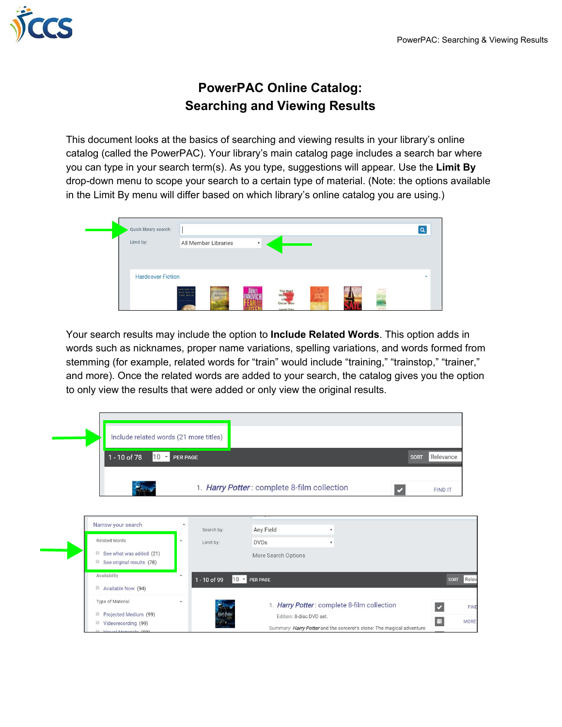

## **PowerPAC Online Catalog: Searching and Viewing Results**

This document looks at the basics of searching and viewing results in your library's online catalog (called the PowerPAC). Your library's main catalog page includes a search bar where you can type in your search term(s). As you type, suggestions will appear. Use the **Limit By** drop-down menu to scope your search to a certain type of material. (Note: the options available in the Limit By menu will differ based on which library's online catalog you are using.)



Your search results may include the option to **Include Related Words**. This option adds in words such as nicknames, proper name variations, spelling variations, and words formed from stemming (for example, related words for "train" would include "training," "trainstop," "trainer," and more). Once the related words are added to your search, the catalog gives you the option to only view the results that were added or only view the original results.

| Include related words (21 more titles)<br>$10 -$<br>1 - 10 of 78                                                                          | PER PAGE |                         |                 | 1. Harry Potter: complete 8-film collection                             |                    |                                                                       | <b>SORT</b> | Relevance<br>FIND IT                        |                                     |
|-------------------------------------------------------------------------------------------------------------------------------------------|----------|-------------------------|-----------------|-------------------------------------------------------------------------|--------------------|-----------------------------------------------------------------------|-------------|---------------------------------------------|-------------------------------------|
| Narrow your search<br>Related Words<br>See what was added (21)<br>⋓<br>See original results (78)                                          | À        | Search by:<br>Limit by: |                 | Any Field<br><b>DVDs</b><br>More Search Options                         | $\pmb{\mathrm{v}}$ |                                                                       |             |                                             |                                     |
| Availability<br>Available Now (94)<br>Type of Material<br>Projected Medium (99)<br>▣<br>Videorecording (99)<br>▣<br>Vieuel Meteriale (88) | ▲        | 1 - 10 of 99            | $10 -$ PER PAGE | 1. Harry Potter: complete 8-film collection<br>Edition: 8-disc DVD set. |                    | Summary: Harry Potter and the sorcerer's stone: The magical adventure |             | <b>SORT</b><br>$\overline{\mathbf{v}}$<br>E | Relev<br><b>FIND</b><br><b>MORE</b> |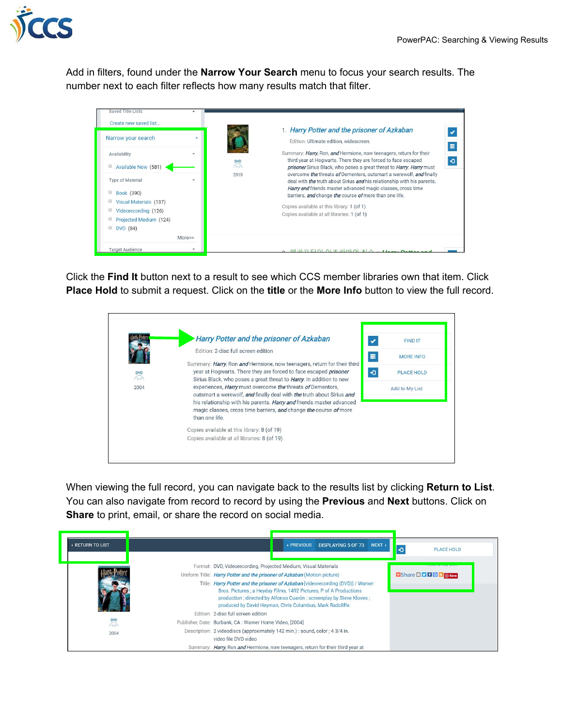

Add in filters, found under the **Narrow Your Search** menu to focus your search results. The number next to each filter reflects how many results match that filter.



Click the **Find It** button next to a result to see which CCS member libraries own that item. Click **Place Hold** to submit a request. Click on the **title** or the **More Info** button to view the full record.



When viewing the full record, you can navigate back to the results list by clicking **Return to List**. You can also navigate from record to record by using the **Previous** and **Next** buttons. Click on **Share** to print, email, or share the record on social media.

| <b>A RETURN TO LIST</b>          | NEXT<br><b>DISPLAYING 5 OF 73</b><br>← PREVIOUS<br>Ð<br><b>PLACE HOLD</b>                                                                                                                                                                                                                                                                                                                                                                                               |  |
|----------------------------------|-------------------------------------------------------------------------------------------------------------------------------------------------------------------------------------------------------------------------------------------------------------------------------------------------------------------------------------------------------------------------------------------------------------------------------------------------------------------------|--|
|                                  | Format: DVD, Videorecording, Projected Medium, Visual Materials<br><b>COMM LW IVER MINT</b><br>Uniform Title: Harry Potter and the prisoner of Azkaban (Motion picture)<br>Title: Harry Potter and the prisoner of Azkaban [videorecording (DVD)] / Warner<br>Bros. Pictures ; a Heyday Films, 1492 Pictures, P of A Productions<br>production ; directed by Alfonso Cuarón ; screenplay by Steve Kloves ;<br>produced by David Heyman, Chris Columbus, Mark Radcliffe. |  |
| <b>DVD</b><br>$\bigcirc$<br>2004 | Edition: 2-disc full screen edition<br>Publisher, Date: Burbank, CA : Warner Home Video, [2004]<br>Description: 2 videodiscs (approximately 142 min.): sound, color; 4 3/4 in.<br>video file DVD video<br>Summary: Harry, Ron and Hermione, now teenagers, return for their third year at                                                                                                                                                                               |  |